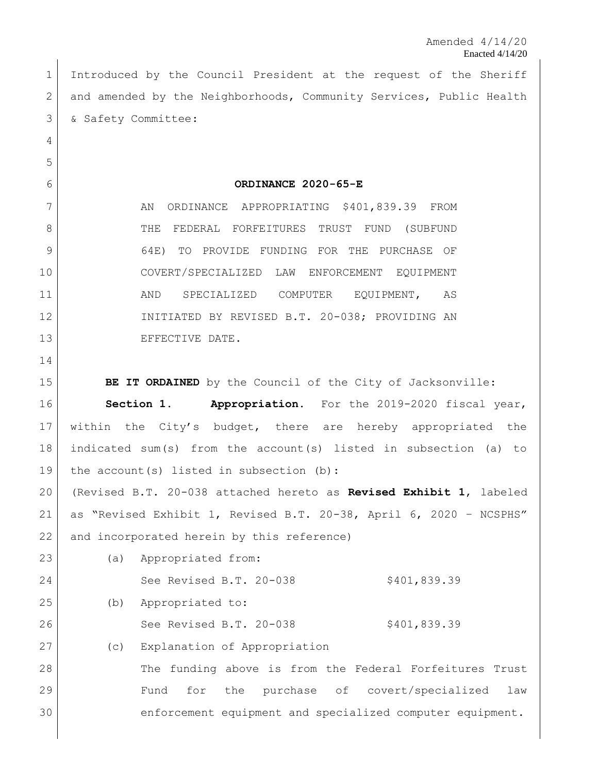Introduced by the Council President at the request of the Sheriff 2 and amended by the Neighborhoods, Community Services, Public Health & Safety Committee:

**ORDINANCE 2020-65-E**

7 AN ORDINANCE APPROPRIATING \$401,839.39 FROM 8 THE FEDERAL FORFEITURES TRUST FUND (SUBFUND 9 64E) TO PROVIDE FUNDING FOR THE PURCHASE OF COVERT/SPECIALIZED LAW ENFORCEMENT EQUIPMENT 11 | AND SPECIALIZED COMPUTER EQUIPMENT, AS INITIATED BY REVISED B.T. 20-038; PROVIDING AN 13 EFFECTIVE DATE.

(a) Appropriated from:

**BE IT ORDAINED** by the Council of the City of Jacksonville:

 **Section 1. Appropriation.** For the 2019-2020 fiscal year, within the City's budget, there are hereby appropriated the indicated sum(s) from the account(s) listed in subsection (a) to 19 the account(s) listed in subsection (b):

 (Revised B.T. 20-038 attached hereto as **Revised Exhibit 1**, labeled as "Revised Exhibit 1, Revised B.T. 20-38, April 6, 2020 – NCSPHS" 22 and incorporated herein by this reference)

| 24 |     | See Revised B.T. 20-038      | \$401,839.39                                              |
|----|-----|------------------------------|-----------------------------------------------------------|
| 25 | (b) | Appropriated to:             |                                                           |
| 26 |     | See Revised B.T. 20-038      | \$401,839.39                                              |
| 27 | (C) | Explanation of Appropriation |                                                           |
| 28 |     |                              | The funding above is from the Federal Forfeitures Trust   |
| 29 |     | the<br>Fund<br>for           | purchase of covert/specialized<br>law                     |
| 30 |     |                              | enforcement equipment and specialized computer equipment. |
|    |     |                              |                                                           |